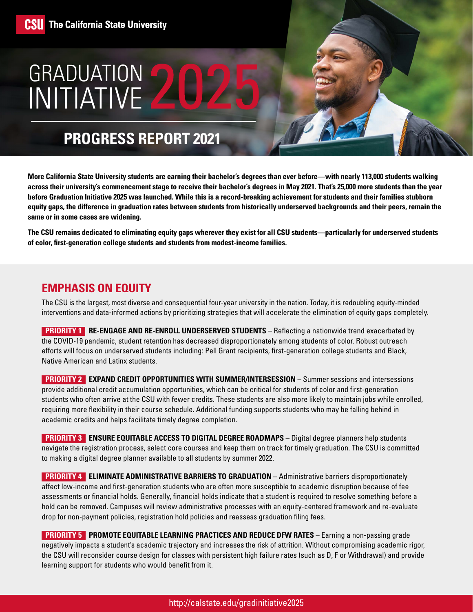## GRADUATION 2025 INITIATIVE

## **PROGRESS REPORT 2021**

same or in some cases are widening. **More California State University students are earning their bachelor's degrees than ever before—with nearly 113,000 students walking across their university's commencement stage to receive their bachelor's degrees in May 2021. That's 25,000 more students than the year before Graduation Initiative 2025 was launched. While this is a record-breaking achievement for students and their families stubborn equity gaps, the difference in graduation rates between students from historically underserved backgrounds and their peers, remain the** 

The CSU remains dedicated to eliminating equity gaps wherever they exist for all CSU students—particularly for underserved students **of color, frst-generation college students and students from modest-income families.** 

#### **EMPHASIS ON EQUITY**

 interventions and data-informed actions by prioritizing strategies that will accelerate the elimination of equity gaps completely. The CSU is the largest, most diverse and consequential four-year university in the nation. Today, it is redoubling equity-minded

**PRIORITY 1 RE-ENGAGE AND RE-ENROLL UNDERSERVED STUDENTS** - Reflecting a nationwide trend exacerbated by the COVID-19 pandemic, student retention has decreased disproportionately among students of color. Robust outreach efforts will focus on underserved students including: Pell Grant recipients, frst-generation college students and Black, Native American and Latinx students.

**PRIORITY 2 EXPAND CREDIT OPPORTUNITIES WITH SUMMER/INTERSESSION** – Summer sessions and intersessions provide additional credit accumulation opportunities, which can be critical for students of color and frst-generation students who often arrive at the CSU with fewer credits. These students are also more likely to maintain jobs while enrolled, requiring more fexibility in their course schedule. Additional funding supports students who may be falling behind in academic credits and helps facilitate timely degree completion.

**PRIORITY 3 ENSURE EQUITABLE ACCESS TO DIGITAL DEGREE ROADMAPS** – Digital degree planners help students navigate the registration process, select core courses and keep them on track for timely graduation. The CSU is committed to making a digital degree planner available to all students by summer 2022.

**PRIORITY 4 ELIMINATE ADMINISTRATIVE BARRIERS TO GRADUATION** – Administrative barriers disproportionately affect low-income and frst-generation students who are often more susceptible to academic disruption because of fee assessments or fnancial holds. Generally, fnancial holds indicate that a student is required to resolve something before a hold can be removed. Campuses will review administrative processes with an equity-centered framework and re-evaluate drop for non-payment policies, registration hold policies and reassess graduation fling fees.

**PRIORITY 5 PROMOTE EQUITABLE LEARNING PRACTICES AND REDUCE DFW RATES - Earning a non-passing grade** negatively impacts a student's academic trajectory and increases the risk of attrition. Without compromising academic rigor, the CSU will reconsider course design for classes with persistent high failure rates (such as D, F or Withdrawal) and provide learning support for students who would benefit from it.